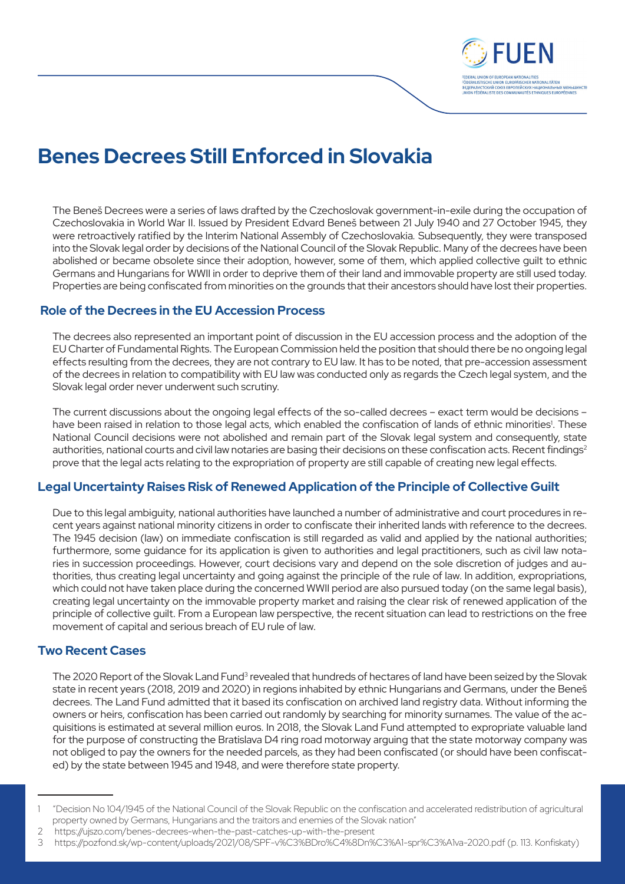

# **Benes Decrees Still Enforced in Slovakia**

The Beneš Decrees were a series of laws drafted by the Czechoslovak government-in-exile during the occupation of Czechoslovakia in World War II. Issued by President Edvard Beneš between 21 July 1940 and 27 October 1945, they were retroactively ratified by the Interim National Assembly of Czechoslovakia*.* Subsequently, they were transposed into the Slovak legal order by decisions of the National Council of the Slovak Republic. Many of the decrees have been abolished or became obsolete since their adoption, however, some of them, which applied collective guilt to ethnic Germans and Hungarians for WWII in order to deprive them of their land and immovable property are still used today. Properties are being confiscated from minorities on the grounds that their ancestors should have lost their properties.

#### **Role of the Decrees in the EU Accession Process**

The decrees also represented an important point of discussion in the EU accession process and the adoption of the EU Charter of Fundamental Rights. The European Commission held the position that should there be no ongoing legal effects resulting from the decrees, they are not contrary to EU law. It has to be noted, that pre-accession assessment of the decrees in relation to compatibility with EU law was conducted only as regards the Czech legal system, and the Slovak legal order never underwent such scrutiny.

The current discussions about the ongoing legal effects of the so-called decrees – exact term would be decisions – have been raised in relation to those legal acts, which enabled the confiscation of lands of ethnic minorities<sup>1</sup>. These National Council decisions were not abolished and remain part of the Slovak legal system and consequently, state authorities, national courts and civil law notaries are basing their decisions on these confiscation acts. Recent findings<sup>2</sup> prove that the legal acts relating to the expropriation of property are still capable of creating new legal effects.

## **Legal Uncertainty Raises Risk of Renewed Application of the Principle of Collective Guilt**

Due to this legal ambiguity, national authorities have launched a number of administrative and court procedures in recent years against national minority citizens in order to confiscate their inherited lands with reference to the decrees. The 1945 decision (law) on immediate confiscation is still regarded as valid and applied by the national authorities; furthermore, some guidance for its application is given to authorities and legal practitioners, such as civil law notaries in succession proceedings. However, court decisions vary and depend on the sole discretion of judges and authorities, thus creating legal uncertainty and going against the principle of the rule of law. In addition, expropriations, which could not have taken place during the concerned WWII period are also pursued today (on the same legal basis), creating legal uncertainty on the immovable property market and raising the clear risk of renewed application of the principle of collective guilt. From a European law perspective, the recent situation can lead to restrictions on the free movement of capital and serious breach of EU rule of law.

#### **Two Recent Cases**

The 2020 Report of the Slovak Land Fund<sup>3</sup> revealed that hundreds of hectares of land have been seized by the Slovak state in recent years (2018, 2019 and 2020) in regions inhabited by ethnic Hungarians and Germans, under the Beneš decrees. The Land Fund admitted that it based its confiscation on archived land registry data. Without informing the owners or heirs, confiscation has been carried out randomly by searching for minority surnames. The value of the acquisitions is estimated at several million euros. In 2018, the Slovak Land Fund attempted to expropriate valuable land for the purpose of constructing the Bratislava D4 ring road motorway arguing that the state motorway company was not obliged to pay the owners for the needed parcels, as they had been confiscated (or should have been confiscated) by the state between 1945 and 1948, and were therefore state property.

<sup>1 &</sup>quot;Decision No 104/1945 of the National Council of the Slovak Republic on the confiscation and accelerated redistribution of agricultural property owned by Germans, Hungarians and the traitors and enemies of the Slovak nation"

<sup>2</sup> https://ujszo.com/benes-decrees-when-the-past-catches-up-with-the-present

<sup>3</sup>  https://pozfond.sk/wp-content/uploads/2021/08/SPF-v%C3%BDro%C4%8Dn%C3%A1-spr%C3%A1va-2020.pdf (p. 113. Konfiskaty)